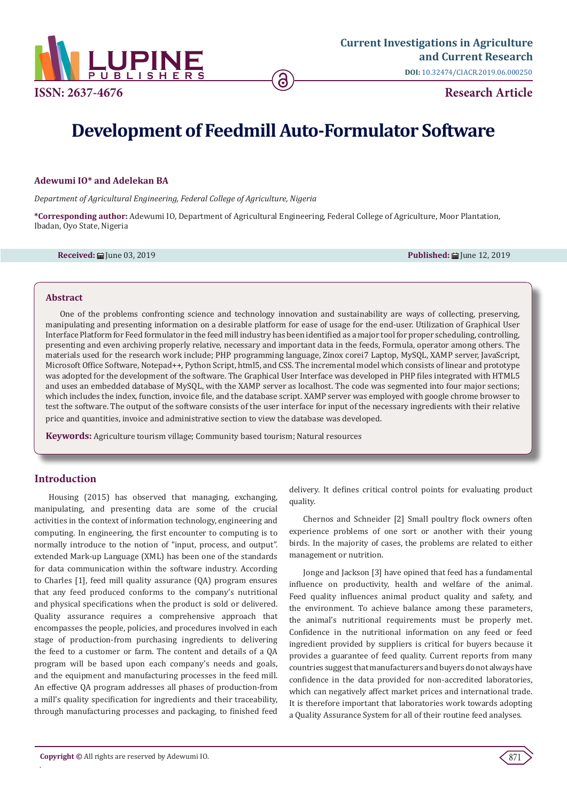

# **Development of Feedmill Auto-Formulator Software**

#### **Adewumi IO\* and Adelekan BA**

*Department of Agricultural Engineering, Federal College of Agriculture, Nigeria*

**\*Corresponding author:** Adewumi IO, Department of Agricultural Engineering, Federal College of Agriculture, Moor Plantation, Ibadan, Oyo State, Nigeria

**Received:** June 03, 2019 **Published:** June 12, 2019

#### **Abstract**

One of the problems confronting science and technology innovation and sustainability are ways of collecting, preserving, manipulating and presenting information on a desirable platform for ease of usage for the end-user. Utilization of Graphical User Interface Platform for Feed formulator in the feed mill industry has been identified as a major tool for proper scheduling, controlling, presenting and even archiving properly relative, necessary and important data in the feeds, Formula, operator among others. The materials used for the research work include; PHP programming language, Zinox corei7 Laptop, MySQL, XAMP server, JavaScript, Microsoft Office Software, Notepad++, Python Script, html5, and CSS. The incremental model which consists of linear and prototype was adopted for the development of the software. The Graphical User Interface was developed in PHP files integrated with HTML5 and uses an embedded database of MySQL, with the XAMP server as localhost. The code was segmented into four major sections; which includes the index, function, invoice file, and the database script. XAMP server was employed with google chrome browser to test the software. The output of the software consists of the user interface for input of the necessary ingredients with their relative price and quantities, invoice and administrative section to view the database was developed.

**Keywords:** Agriculture tourism village; Community based tourism; Natural resources

## **Introduction**

.

Housing (2015) has observed that managing, exchanging, manipulating, and presenting data are some of the crucial activities in the context of information technology, engineering and computing. In engineering, the first encounter to computing is to normally introduce to the notion of "input, process, and output". extended Mark-up Language (XML) has been one of the standards for data communication within the software industry. According to Charles [1], feed mill quality assurance (QA) program ensures that any feed produced conforms to the company's nutritional and physical specifications when the product is sold or delivered. Quality assurance requires a comprehensive approach that encompasses the people, policies, and procedures involved in each stage of production-from purchasing ingredients to delivering the feed to a customer or farm. The content and details of a QA program will be based upon each company's needs and goals, and the equipment and manufacturing processes in the feed mill. An effective QA program addresses all phases of production-from a mill's quality specification for ingredients and their traceability, through manufacturing processes and packaging, to finished feed

delivery. It defines critical control points for evaluating product quality.

Chernos and Schneider [2] Small poultry flock owners often experience problems of one sort or another with their young birds. In the majority of cases, the problems are related to either management or nutrition.

Jonge and Jackson [3] have opined that feed has a fundamental influence on productivity, health and welfare of the animal. Feed quality influences animal product quality and safety, and the environment. To achieve balance among these parameters, the animal's nutritional requirements must be properly met. Confidence in the nutritional information on any feed or feed ingredient provided by suppliers is critical for buyers because it provides a guarantee of feed quality. Current reports from many countries suggest that manufacturers and buyers do not always have confidence in the data provided for non-accredited laboratories, which can negatively affect market prices and international trade. It is therefore important that laboratories work towards adopting a Quality Assurance System for all of their routine feed analyses.

871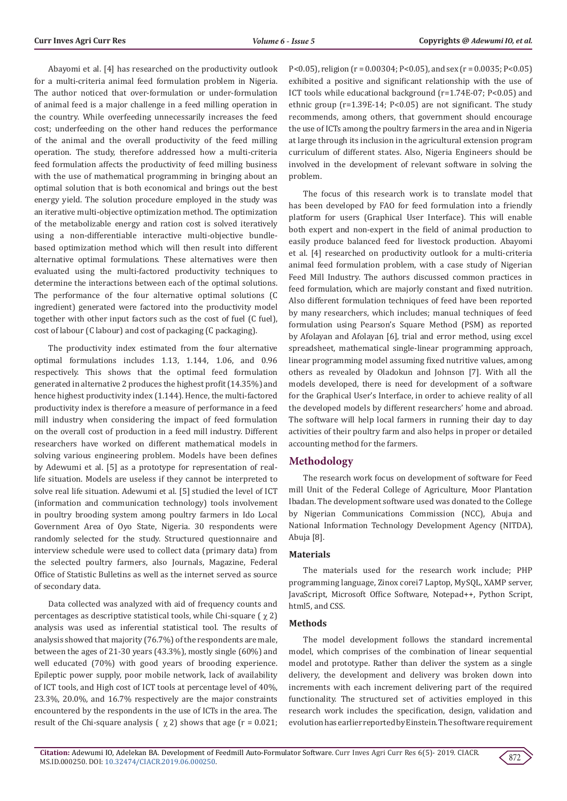Abayomi et al. [4] has researched on the productivity outlook for a multi-criteria animal feed formulation problem in Nigeria. The author noticed that over-formulation or under-formulation of animal feed is a major challenge in a feed milling operation in the country. While overfeeding unnecessarily increases the feed cost; underfeeding on the other hand reduces the performance of the animal and the overall productivity of the feed milling operation. The study, therefore addressed how a multi-criteria feed formulation affects the productivity of feed milling business with the use of mathematical programming in bringing about an optimal solution that is both economical and brings out the best energy yield. The solution procedure employed in the study was an iterative multi-objective optimization method. The optimization of the metabolizable energy and ration cost is solved iteratively using a non-differentiable interactive multi-objective bundlebased optimization method which will then result into different alternative optimal formulations. These alternatives were then evaluated using the multi-factored productivity techniques to determine the interactions between each of the optimal solutions. The performance of the four alternative optimal solutions (C ingredient) generated were factored into the productivity model together with other input factors such as the cost of fuel (C fuel), cost of labour (C labour) and cost of packaging (C packaging).

The productivity index estimated from the four alternative optimal formulations includes 1.13, 1.144, 1.06, and 0.96 respectively. This shows that the optimal feed formulation generated in alternative 2 produces the highest profit (14.35%) and hence highest productivity index (1.144). Hence, the multi-factored productivity index is therefore a measure of performance in a feed mill industry when considering the impact of feed formulation on the overall cost of production in a feed mill industry. Different researchers have worked on different mathematical models in solving various engineering problem. Models have been defines by Adewumi et al. [5] as a prototype for representation of reallife situation. Models are useless if they cannot be interpreted to solve real life situation. Adewumi et al. [5] studied the level of ICT (information and communication technology) tools involvement in poultry brooding system among poultry farmers in Ido Local Government Area of Oyo State, Nigeria. 30 respondents were randomly selected for the study. Structured questionnaire and interview schedule were used to collect data (primary data) from the selected poultry farmers, also Journals, Magazine, Federal Office of Statistic Bulletins as well as the internet served as source of secondary data.

Data collected was analyzed with aid of frequency counts and percentages as descriptive statistical tools, while Chi-square ( $\chi$  2) analysis was used as inferential statistical tool. The results of analysis showed that majority (76.7%) of the respondents are male, between the ages of 21-30 years (43.3%), mostly single (60%) and well educated (70%) with good years of brooding experience. Epileptic power supply, poor mobile network, lack of availability of ICT tools, and High cost of ICT tools at percentage level of 40%, 23.3%, 20.0%, and 16.7% respectively are the major constraints encountered by the respondents in the use of ICTs in the area. The result of the Chi-square analysis ( $\chi$  2) shows that age (r = 0.021;

P<0.05), religion ( $r = 0.00304$ ; P<0.05), and sex ( $r = 0.0035$ ; P<0.05) exhibited a positive and significant relationship with the use of ICT tools while educational background (r=1.74E-07; P<0.05) and ethnic group (r=1.39E-14; P<0.05) are not significant. The study recommends, among others, that government should encourage the use of ICTs among the poultry farmers in the area and in Nigeria at large through its inclusion in the agricultural extension program curriculum of different states. Also, Nigeria Engineers should be involved in the development of relevant software in solving the problem.

The focus of this research work is to translate model that has been developed by FAO for feed formulation into a friendly platform for users (Graphical User Interface). This will enable both expert and non-expert in the field of animal production to easily produce balanced feed for livestock production. Abayomi et al. [4] researched on productivity outlook for a multi-criteria animal feed formulation problem, with a case study of Nigerian Feed Mill Industry. The authors discussed common practices in feed formulation, which are majorly constant and fixed nutrition. Also different formulation techniques of feed have been reported by many researchers, which includes; manual techniques of feed formulation using Pearson's Square Method (PSM) as reported by Afolayan and Afolayan [6], trial and error method, using excel spreadsheet, mathematical single-linear programming approach, linear programming model assuming fixed nutritive values, among others as revealed by Oladokun and Johnson [7]. With all the models developed, there is need for development of a software for the Graphical User's Interface, in order to achieve reality of all the developed models by different researchers' home and abroad. The software will help local farmers in running their day to day activities of their poultry farm and also helps in proper or detailed accounting method for the farmers.

# **Methodology**

The research work focus on development of software for Feed mill Unit of the Federal College of Agriculture, Moor Plantation Ibadan. The development software used was donated to the College by Nigerian Communications Commission (NCC), Abuja and National Information Technology Development Agency (NITDA), Abuja [8].

#### **Materials**

The materials used for the research work include; PHP programming language, Zinox corei7 Laptop, MySQL, XAMP server, JavaScript, Microsoft Office Software, Notepad++, Python Script, html5, and CSS.

#### **Methods**

The model development follows the standard incremental model, which comprises of the combination of linear sequential model and prototype. Rather than deliver the system as a single delivery, the development and delivery was broken down into increments with each increment delivering part of the required functionality. The structured set of activities employed in this research work includes the specification, design, validation and evolution has earlier reported by Einstein. The software requirement

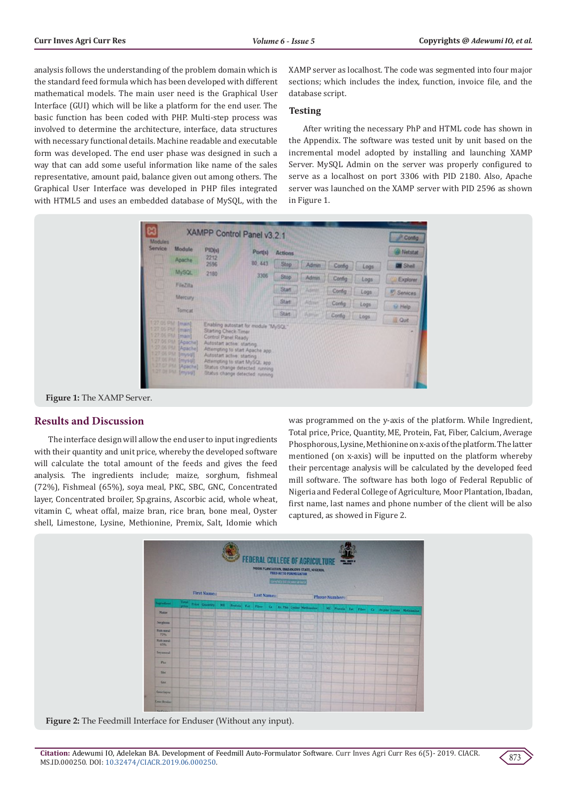analysis follows the understanding of the problem domain which is the standard feed formula which has been developed with different mathematical models. The main user need is the Graphical User Interface (GUI) which will be like a platform for the end user. The basic function has been coded with PHP. Multi-step process was involved to determine the architecture, interface, data structures with necessary functional details. Machine readable and executable form was developed. The end user phase was designed in such a way that can add some useful information like name of the sales representative, amount paid, balance given out among others. The Graphical User Interface was developed in PHP files integrated with HTML5 and uses an embedded database of MySQL, with the

XAMP server as localhost. The code was segmented into four major sections; which includes the index, function, invoice file, and the database script.

#### **Testing**

After writing the necessary PhP and HTML code has shown in the Appendix. The software was tested unit by unit based on the incremental model adopted by installing and launching XAMP Server. MySQL Admin on the server was properly configured to serve as a localhost on port 3306 with PID 2180. Also, Apache server was launched on the XAMP server with PID 2596 as shown in Figure 1.





## **Results and Discussion**

The interface design will allow the end user to input ingredients with their quantity and unit price, whereby the developed software will calculate the total amount of the feeds and gives the feed analysis. The ingredients include; maize, sorghum, fishmeal (72%), Fishmeal (65%), soya meal, PKC, SBC, GNC, Concentrated layer, Concentrated broiler, Sp.grains, Ascorbic acid, whole wheat, vitamin C, wheat offal, maize bran, rice bran, bone meal, Oyster shell, Limestone, Lysine, Methionine, Premix, Salt, Idomie which

was programmed on the y-axis of the platform. While Ingredient, Total price, Price, Quantity, ME, Protein, Fat, Fiber, Calcium, Average Phosphorous, Lysine, Methionine on x-axis of the platform. The latter mentioned (on x-axis) will be inputted on the platform whereby their percentage analysis will be calculated by the developed feed mill software. The software has both logo of Federal Republic of Nigeria and Federal College of Agriculture, Moor Plantation, Ibadan, first name, last names and phone number of the client will be also captured, as showed in Figure 2.



**Figure 2:** The Feedmill Interface for Enduser (Without any input).

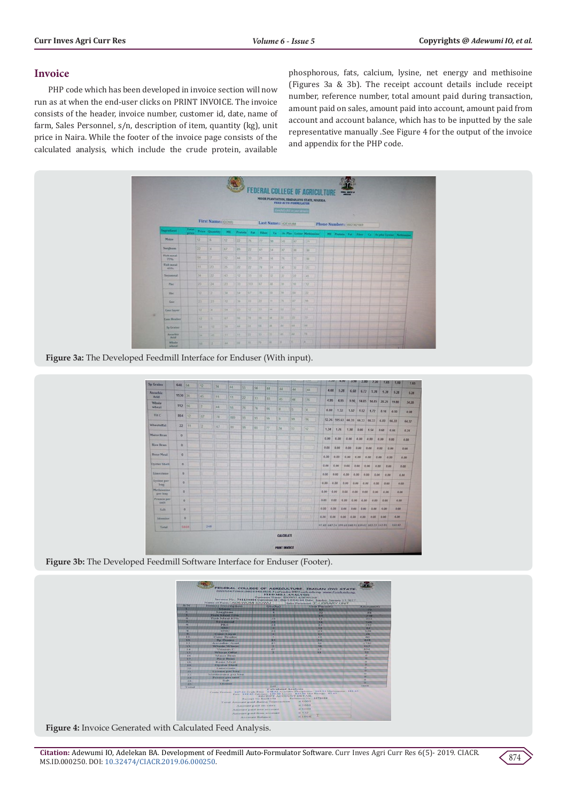## **Invoice**

PHP code which has been developed in invoice section will now run as at when the end-user clicks on PRINT INVOICE. The invoice consists of the header, invoice number, customer id, date, name of farm, Sales Personnel, s/n, description of item, quantity (kg), unit price in Naira. While the footer of the invoice page consists of the calculated analysis, which include the crude protein, available

phosphorous, fats, calcium, lysine, net energy and methisoine (Figures 3a & 3b). The receipt account details include receipt number, reference number, total amount paid during transaction, amount paid on sales, amount paid into account, amount paid from account and account balance, which has to be inputted by the sale representative manually .See Figure 4 for the output of the invoice and appendix for the PHP code.



**Figure 3a:** The Developed Feedmill Interface for Enduser (With input).

| 648          |               |                                                                                                                        |         |                 |                  |                |                |                |                    |                                         |                        |                                                                                                               |                                                                                                               |                                                                                                              |                                                                                              |                                                                                                           |                                                                                                                                                                                                                     | 1.65                                                                                                                                                              |
|--------------|---------------|------------------------------------------------------------------------------------------------------------------------|---------|-----------------|------------------|----------------|----------------|----------------|--------------------|-----------------------------------------|------------------------|---------------------------------------------------------------------------------------------------------------|---------------------------------------------------------------------------------------------------------------|--------------------------------------------------------------------------------------------------------------|----------------------------------------------------------------------------------------------|-----------------------------------------------------------------------------------------------------------|---------------------------------------------------------------------------------------------------------------------------------------------------------------------------------------------------------------------|-------------------------------------------------------------------------------------------------------------------------------------------------------------------|
|              |               |                                                                                                                        |         |                 |                  |                |                |                | 144                | 44                                      |                        |                                                                                                               |                                                                                                               |                                                                                                              |                                                                                              |                                                                                                           |                                                                                                                                                                                                                     | 5.28                                                                                                                                                              |
|              |               | 45                                                                                                                     | 11      | 33              | 22               | 33             | 33             | 45             |                    |                                         |                        |                                                                                                               |                                                                                                               |                                                                                                              |                                                                                              |                                                                                                           |                                                                                                                                                                                                                     |                                                                                                                                                                   |
|              |               | 12                                                                                                                     | 144     | GG:             | 76               | 76             | 66             |                |                    |                                         |                        |                                                                                                               |                                                                                                               |                                                                                                              |                                                                                              |                                                                                                           |                                                                                                                                                                                                                     | 34.20                                                                                                                                                             |
| 804          | 152           | 67                                                                                                                     | 78      |                 |                  |                |                |                |                    |                                         |                        |                                                                                                               |                                                                                                               |                                                                                                              |                                                                                              |                                                                                                           |                                                                                                                                                                                                                     | 0.08                                                                                                                                                              |
|              |               |                                                                                                                        |         |                 |                  |                |                |                |                    |                                         |                        |                                                                                                               |                                                                                                               |                                                                                                              |                                                                                              |                                                                                                           |                                                                                                                                                                                                                     | 64.32                                                                                                                                                             |
|              |               |                                                                                                                        |         |                 |                  |                |                |                |                    |                                         |                        | 1.76                                                                                                          | 1.98                                                                                                          | 0.00                                                                                                         | 1.54                                                                                         | 0.68                                                                                                      |                                                                                                                                                                                                                     | 0.24                                                                                                                                                              |
|              |               |                                                                                                                        |         |                 |                  |                |                |                |                    |                                         |                        |                                                                                                               |                                                                                                               | 0.00                                                                                                         |                                                                                              | 0.00                                                                                                      |                                                                                                                                                                                                                     | 0.00                                                                                                                                                              |
| $\mathbf{0}$ |               |                                                                                                                        |         |                 |                  |                |                |                |                    |                                         |                        |                                                                                                               |                                                                                                               |                                                                                                              |                                                                                              |                                                                                                           |                                                                                                                                                                                                                     | 0.00                                                                                                                                                              |
| $\circ$      |               |                                                                                                                        |         |                 |                  |                |                |                |                    |                                         |                        |                                                                                                               |                                                                                                               |                                                                                                              |                                                                                              |                                                                                                           |                                                                                                                                                                                                                     | 0.00                                                                                                                                                              |
|              |               |                                                                                                                        |         |                 |                  |                |                |                |                    |                                         |                        |                                                                                                               |                                                                                                               |                                                                                                              |                                                                                              |                                                                                                           |                                                                                                                                                                                                                     | 0.00                                                                                                                                                              |
|              |               |                                                                                                                        |         |                 |                  |                |                |                |                    |                                         |                        |                                                                                                               |                                                                                                               |                                                                                                              |                                                                                              |                                                                                                           |                                                                                                                                                                                                                     | 0.00                                                                                                                                                              |
|              |               |                                                                                                                        |         |                 |                  |                |                |                |                    |                                         |                        |                                                                                                               |                                                                                                               |                                                                                                              |                                                                                              |                                                                                                           |                                                                                                                                                                                                                     | 0.00                                                                                                                                                              |
|              |               |                                                                                                                        |         |                 |                  |                |                |                |                    |                                         |                        |                                                                                                               |                                                                                                               |                                                                                                              |                                                                                              |                                                                                                           |                                                                                                                                                                                                                     |                                                                                                                                                                   |
|              |               |                                                                                                                        |         |                 |                  |                |                |                |                    |                                         |                        |                                                                                                               |                                                                                                               |                                                                                                              |                                                                                              |                                                                                                           |                                                                                                                                                                                                                     |                                                                                                                                                                   |
|              |               |                                                                                                                        |         |                 |                  |                |                |                |                    |                                         |                        |                                                                                                               |                                                                                                               |                                                                                                              |                                                                                              | $-0.00$                                                                                                   |                                                                                                                                                                                                                     |                                                                                                                                                                   |
|              |               |                                                                                                                        |         |                 |                  |                |                |                |                    |                                         |                        |                                                                                                               |                                                                                                               |                                                                                                              |                                                                                              | 0.00                                                                                                      | 0.00                                                                                                                                                                                                                |                                                                                                                                                                   |
|              |               |                                                                                                                        |         |                 |                  |                |                |                |                    |                                         |                        |                                                                                                               |                                                                                                               |                                                                                                              |                                                                                              |                                                                                                           |                                                                                                                                                                                                                     |                                                                                                                                                                   |
|              |               |                                                                                                                        |         |                 |                  |                |                |                |                    |                                         |                        |                                                                                                               |                                                                                                               |                                                                                                              |                                                                                              |                                                                                                           |                                                                                                                                                                                                                     |                                                                                                                                                                   |
|              |               |                                                                                                                        |         |                 |                  |                |                |                |                    |                                         |                        |                                                                                                               |                                                                                                               |                                                                                                              |                                                                                              |                                                                                                           |                                                                                                                                                                                                                     |                                                                                                                                                                   |
|              | 22<br>$\circ$ | 154<br>1530 34<br>112 56<br>111<br>$\circ$<br>$\circ$<br>$\circ$<br>$\circ$<br>$\circ$<br>$\circ$<br>$\alpha$<br>Saia. | 12<br>z | 34<br>67<br>248 | 44<br>889<br>185 | 55<br>99<br>99 | 56<br>39<br>00 | 44<br>59<br>77 | 44<br>G<br>G<br>34 | 44<br>ß.<br>39<br>窗<br><b>CALCULATE</b> | 76<br>14<br>196<br>112 | 4.08<br>4.95<br>0.88<br>1.34<br>0.00.<br>0.00<br>0.00<br>0.00<br>8.00<br>0.00<br>0.00<br>0.00<br>0.00<br>0.00 | وحدها<br>5.28<br>4.95<br>1.32<br>0.00<br>0.00<br>0.00<br>0.00<br>0.00<br>0.00<br>0.00<br>0.00<br>0.00<br>0.00 | 4.30<br>0.00<br>0.00<br>0.00<br>0.00<br>0.00<br>0.00<br>0.00<br>0.00<br>0.00<br>0.00<br><b>PRINT INVOICE</b> | 3.50<br>6.60<br>1.52<br>1,52<br>0.00<br>0.00<br>0.00<br>0.00<br>0.00<br>0.00<br>0.00<br>8.00 | 2.80<br>6.72<br>1.72<br>0.00<br>0.00<br>0.00<br>0.00<br>0.00<br>0.00<br>0.00<br>0.00<br>0.00<br>0.00 0.00 | 2.20<br>5.28<br>9.90, 14.85 14.85<br>0.16<br>52.26 595.63 66.33 66.33 66.33 6.03<br>0.00<br>0.00<br>0.00<br>0.00<br>0.00<br>0.00<br>0.00<br>0.00<br>0.00<br>0.00<br>97.83 647.24 199.63 148.91 159.02 103.23 143.01 | 1.65<br>1.10<br>5.78<br>5.28<br>20.25<br>19.80<br>0.10<br>66.33<br>0.66<br>0.00<br>0.00<br>0.00<br>0.00<br>0.00<br>0.00<br>0.00<br>0.00<br>0.00<br>0.00<br>262.43 |

**Figure 3b:** The Developed Feedmill Software Interface for Enduser (Footer).



**Figure 4:** Invoice Generated with Calculated Feed Analysis.

**Citation:** Adewumi IO, Adelekan BA. Development of Feedmill Auto-Formulator Software. Curr Inves Agri Curr Res 6(5)- 2019. CIACR. MS.ID.000250. DOI: [10.32474/CIACR.2019.06.000250](http://dx.doi.org/10.32474/CIACR.2019.06.000250).

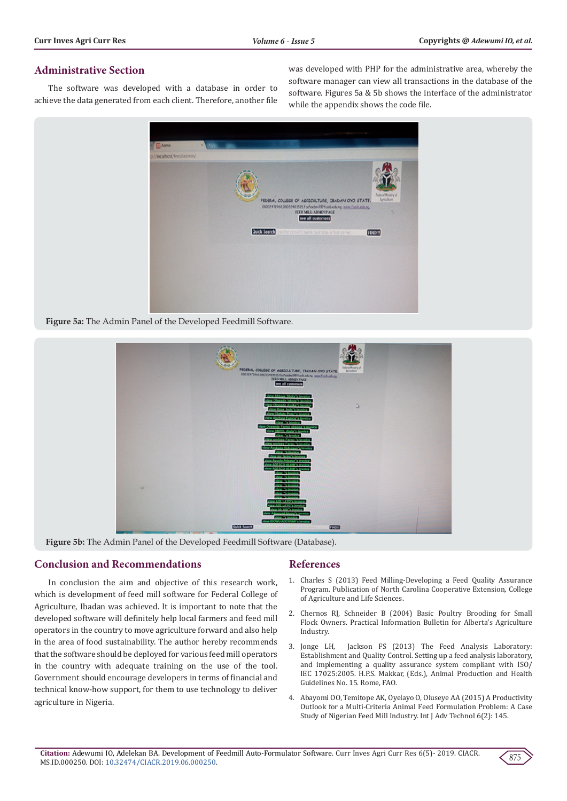# **Administrative Section**

The software was developed with a database in order to achieve the data generated from each client. Therefore, another file was developed with PHP for the administrative area, whereby the software manager can view all transactions in the database of the software. Figures 5a & 5b shows the interface of the administrator while the appendix shows the code file.



**Figure 5a:** The Admin Panel of the Developed Feedmill Software.



**Figure 5b:** The Admin Panel of the Developed Feedmill Software (Database).

# **Conclusion and Recommendations**

In conclusion the aim and objective of this research work, which is development of feed mill software for Federal College of Agriculture, Ibadan was achieved. It is important to note that the developed software will definitely help local farmers and feed mill operators in the country to move agriculture forward and also help in the area of food sustainability. The author hereby recommends that the software should be deployed for various feed mill operators in the country with adequate training on the use of the tool. Government should encourage developers in terms of financial and technical know-how support, for them to use technology to deliver agriculture in Nigeria.

# **References**

- 1. Charles S (2013) Feed Milling-Developing a Feed Quality Assurance Program. Publication of North Carolina Cooperative Extension, College of Agriculture and Life Sciences.
- 2. Chernos RJ, Schneider B (2004) Basic Poultry Brooding for Small Flock Owners. Practical Information Bulletin for Alberta's Agriculture Industry.
- 3. Jonge LH, Jackson FS (2013) The Feed Analysis Laboratory: Establishment and Quality Control. Setting up a feed analysis laboratory, and implementing a quality assurance system compliant with ISO/ IEC 17025:2005. H.P.S. Makkar, (Eds.), Animal Production and Health Guidelines No. 15. Rome, FAO.
- 4. [Abayomi OO, Temitope AK, Oyelayo O, Oluseye AA \(2015\) A Productivity](https://www.longdom.org/open-access/a-productivity-outlook-for-a-multicriteria-animal-feed-formulationproblem-a-case-study-of-nigerian-feed-mill-industry-0976-4860-1000145.pdf) [Outlook for a Multi-Criteria Animal Feed Formulation Problem: A Case](https://www.longdom.org/open-access/a-productivity-outlook-for-a-multicriteria-animal-feed-formulationproblem-a-case-study-of-nigerian-feed-mill-industry-0976-4860-1000145.pdf) [Study of Nigerian Feed Mill Industry. Int J Adv Technol 6\(2\): 145.](https://www.longdom.org/open-access/a-productivity-outlook-for-a-multicriteria-animal-feed-formulationproblem-a-case-study-of-nigerian-feed-mill-industry-0976-4860-1000145.pdf)